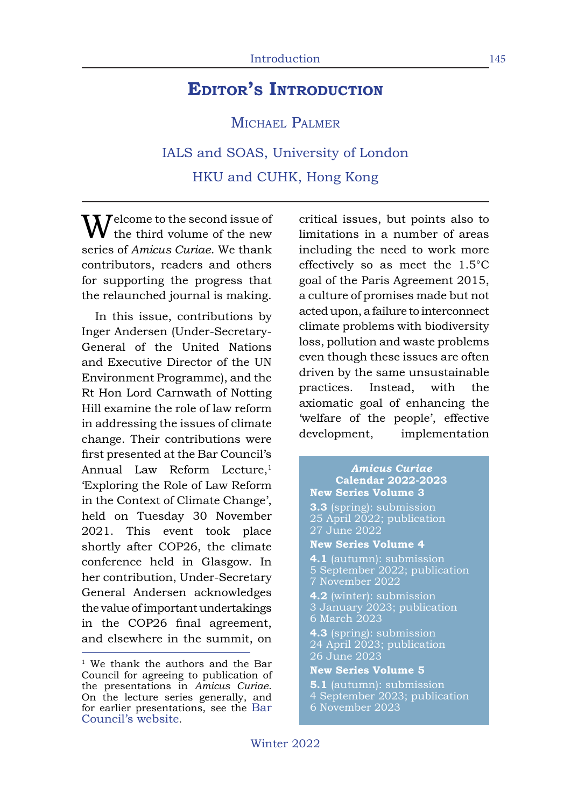## **Editor's Introduction**

MICHAEL PALMER

IALS and SOAS, University of London HKU and CUHK, Hong Kong

 $\sqrt{ }$   $\sqrt{ }$   $\sqrt{ }$   $\sqrt{ }$   $\sqrt{ }$   $\sqrt{ }$   $\sqrt{ }$   $\sqrt{ }$   $\sqrt{ }$   $\sqrt{ }$   $\sqrt{ }$   $\sqrt{ }$   $\sqrt{ }$   $\sqrt{ }$   $\sqrt{ }$   $\sqrt{ }$   $\sqrt{ }$   $\sqrt{ }$   $\sqrt{ }$   $\sqrt{ }$   $\sqrt{ }$   $\sqrt{ }$   $\sqrt{ }$   $\sqrt{ }$   $\sqrt{ }$   $\sqrt{ }$   $\sqrt{ }$   $\sqrt{ }$   $\sqrt{ }$   $\sqrt{ }$   $\sqrt{ }$   $\sqrt{$ the third volume of the new series of *Amicus Curiae*. We thank contributors, readers and others for supporting the progress that the relaunched journal is making.

In this issue, contributions by Inger Andersen (Under-Secretary-General of the United Nations and Executive Director of the UN Environment Programme), and the Rt Hon Lord Carnwath of Notting Hill examine the role of law reform in addressing the issues of climate change. Their contributions were first presented at the Bar Council's Annual Law Reform Lecture.<sup>1</sup> 'Exploring the Role of Law Reform in the Context of Climate Change', held on Tuesday 30 November 2021. This event took place shortly after COP26, the climate conference held in Glasgow. In her contribution, Under-Secretary General Andersen acknowledges the value of important undertakings in the COP26 final agreement, and elsewhere in the summit, on critical issues, but points also to limitations in a number of areas including the need to work more effectively so as meet the 1.5°C goal of the Paris Agreement 2015, a culture of promises made but not acted upon, a failure to interconnect climate problems with biodiversity loss, pollution and waste problems even though these issues are often driven by the same unsustainable practices. Instead, with the axiomatic goal of enhancing the 'welfare of the people', effective development, implementation

## *Amicus Curiae* **Calendar 2022-2023**

- **New Series Volume 3 3.3** (spring): submission 25 April 2022; publication 27 June 2022
- **New Series Volume 4**
- **4.1** (autumn): submission 5 September 2022; publication 7 November 2022
- **4.2** (winter): submission 3 January 2023; publication 6 March 2023
- **4.3** (spring): submission 24 April 2023; publication 26 June 2023
- **New Series Volume 5**
- **5.1** (autumn): submission 4 September 2023; publication
- 6 November 2023

<sup>&</sup>lt;sup>1</sup> We thank the authors and the Bar Council for agreeing to publication of the presentations in *Amicus Curiae*. On the lecture series generally, and for earlier presentations, see the Bar Council's website.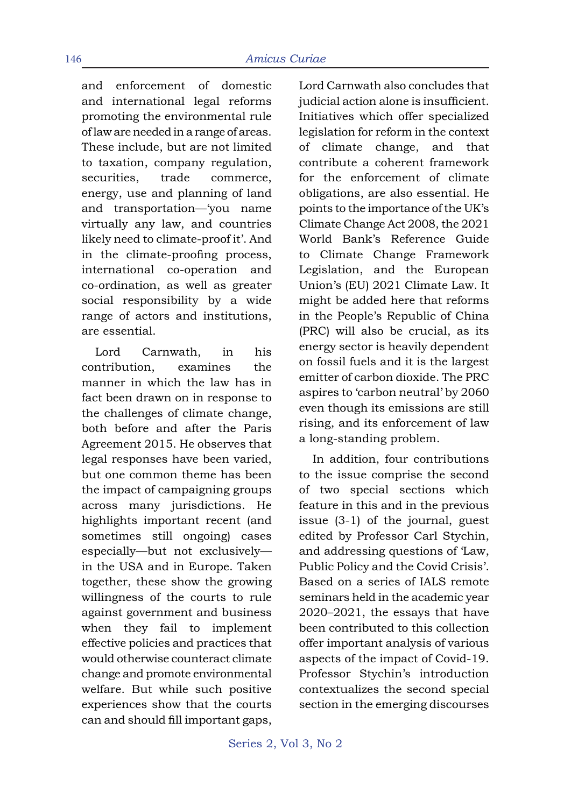and enforcement of domestic and international legal reforms promoting the environmental rule of law are needed in a range of areas. These include, but are not limited to taxation, company regulation, securities, trade commerce, energy, use and planning of land and transportation—'you name virtually any law, and countries likely need to climate-proof it'. And in the climate-proofing process, international co-operation and co-ordination, as well as greater social responsibility by a wide range of actors and institutions, are essential.

Lord Carnwath, in his contribution, examines the manner in which the law has in fact been drawn on in response to the challenges of climate change, both before and after the Paris Agreement 2015. He observes that legal responses have been varied, but one common theme has been the impact of campaigning groups across many jurisdictions. He highlights important recent (and sometimes still ongoing) cases especially—but not exclusively in the USA and in Europe. Taken together, these show the growing willingness of the courts to rule against government and business when they fail to implement effective policies and practices that would otherwise counteract climate change and promote environmental welfare. But while such positive experiences show that the courts can and should fill important gaps, Lord Carnwath also concludes that judicial action alone is insufficient. Initiatives which offer specialized legislation for reform in the context of climate change, and that contribute a coherent framework for the enforcement of climate obligations, are also essential. He points to the importance of the UK's Climate Change Act 2008, the 2021 World Bank's Reference Guide to Climate Change Framework Legislation, and the European Union's (EU) 2021 Climate Law. It might be added here that reforms in the People's Republic of China (PRC) will also be crucial, as its energy sector is heavily dependent on fossil fuels and it is the largest emitter of carbon dioxide. The PRC aspires to 'carbon neutral' by 2060 even though its emissions are still rising, and its enforcement of law a long-standing problem.

In addition, four contributions to the issue comprise the second of two special sections which feature in this and in the previous issue (3-1) of the journal, guest edited by Professor Carl Stychin, and addressing questions of 'Law, Public Policy and the Covid Crisis'. Based on a series of IALS remote seminars held in the academic year 2020–2021, the essays that have been contributed to this collection offer important analysis of various aspects of the impact of Covid-19. Professor Stychin's introduction contextualizes the second special section in the emerging discourses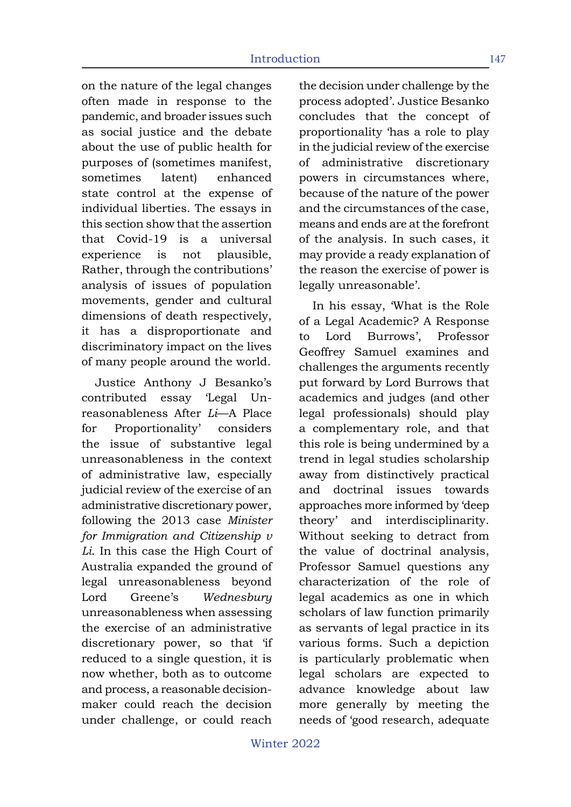on the nature of the legal changes often made in response to the pandemic, and broader issues such as social justice and the debate about the use of public health for purposes of (sometimes manifest, sometimes latent) enhanced state control at the expense of individual liberties. The essays in this section show that the assertion that Covid-19 is a universal experience is not plausible, Rather, through the contributions' analysis of issues of population movements, gender and cultural dimensions of death respectively, it has a disproportionate and discriminatory impact on the lives of many people around the world.

Justice Anthony J Besanko's contributed essay 'Legal Unreasonableness After *Li*—A Place for Proportionality' considers the issue of substantive legal unreasonableness in the context of administrative law, especially judicial review of the exercise of an administrative discretionary power, following the 2013 case *Minister for Immigration and Citizenship v Li*. In this case the High Court of Australia expanded the ground of legal unreasonableness beyond Lord Greene's *Wednesbury* unreasonableness when assessing the exercise of an administrative discretionary power, so that 'if reduced to a single question, it is now whether, both as to outcome and process, a reasonable decisionmaker could reach the decision under challenge, or could reach the decision under challenge by the process adopted'. Justice Besanko concludes that the concept of proportionality 'has a role to play in the judicial review of the exercise of administrative discretionary powers in circumstances where, because of the nature of the power and the circumstances of the case, means and ends are at the forefront of the analysis. In such cases, it may provide a ready explanation of the reason the exercise of power is legally unreasonable'.

In his essay, 'What is the Role of a Legal Academic? A Response to Lord Burrows', Professor Geoffrey Samuel examines and challenges the arguments recently put forward by Lord Burrows that academics and judges (and other legal professionals) should play a complementary role, and that this role is being undermined by a trend in legal studies scholarship away from distinctively practical and doctrinal issues towards approaches more informed by 'deep theory' and interdisciplinarity. Without seeking to detract from the value of doctrinal analysis, Professor Samuel questions any characterization of the role of legal academics as one in which scholars of law function primarily as servants of legal practice in its various forms. Such a depiction is particularly problematic when legal scholars are expected to advance knowledge about law more generally by meeting the needs of 'good research, adequate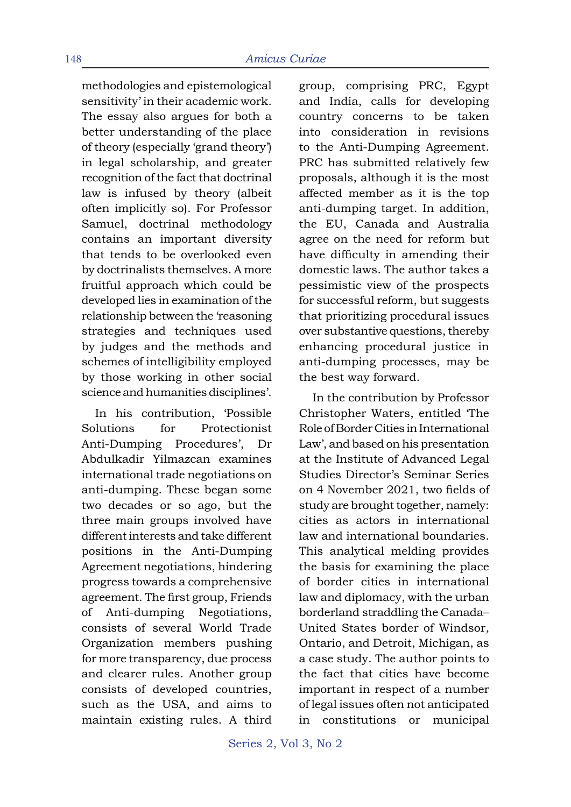methodologies and epistemological sensitivity' in their academic work. The essay also argues for both a better understanding of the place of theory (especially 'grand theory') in legal scholarship, and greater recognition of the fact that doctrinal law is infused by theory (albeit often implicitly so). For Professor Samuel, doctrinal methodology contains an important diversity that tends to be overlooked even by doctrinalists themselves. A more fruitful approach which could be developed lies in examination of the relationship between the 'reasoning strategies and techniques used by judges and the methods and schemes of intelligibility employed by those working in other social science and humanities disciplines'.

In his contribution, 'Possible Solutions for Protectionist Anti-Dumping Procedures', Dr Abdulkadir Yilmazcan examines international trade negotiations on anti-dumping. These began some two decades or so ago, but the three main groups involved have different interests and take different positions in the Anti-Dumping Agreement negotiations, hindering progress towards a comprehensive agreement. The first group, Friends of Anti-dumping Negotiations, consists of several World Trade Organization members pushing for more transparency, due process and clearer rules. Another group consists of developed countries, such as the USA, and aims to maintain existing rules. A third group, comprising PRC, Egypt and India, calls for developing country concerns to be taken into consideration in revisions to the Anti-Dumping Agreement. PRC has submitted relatively few proposals, although it is the most affected member as it is the top anti-dumping target. In addition, the EU, Canada and Australia agree on the need for reform but have difficulty in amending their domestic laws. The author takes a pessimistic view of the prospects for successful reform, but suggests that prioritizing procedural issues over substantive questions, thereby enhancing procedural justice in anti-dumping processes, may be the best way forward.

In the contribution by Professor Christopher Waters, entitled 'The Role of Border Cities in International Law', and based on his presentation at the Institute of Advanced Legal Studies Director's Seminar Series on 4 November 2021, two fields of study are brought together, namely: cities as actors in international law and international boundaries. This analytical melding provides the basis for examining the place of border cities in international law and diplomacy, with the urban borderland straddling the Canada– United States border of Windsor, Ontario, and Detroit, Michigan, as a case study. The author points to the fact that cities have become important in respect of a number of legal issues often not anticipated in constitutions or municipal